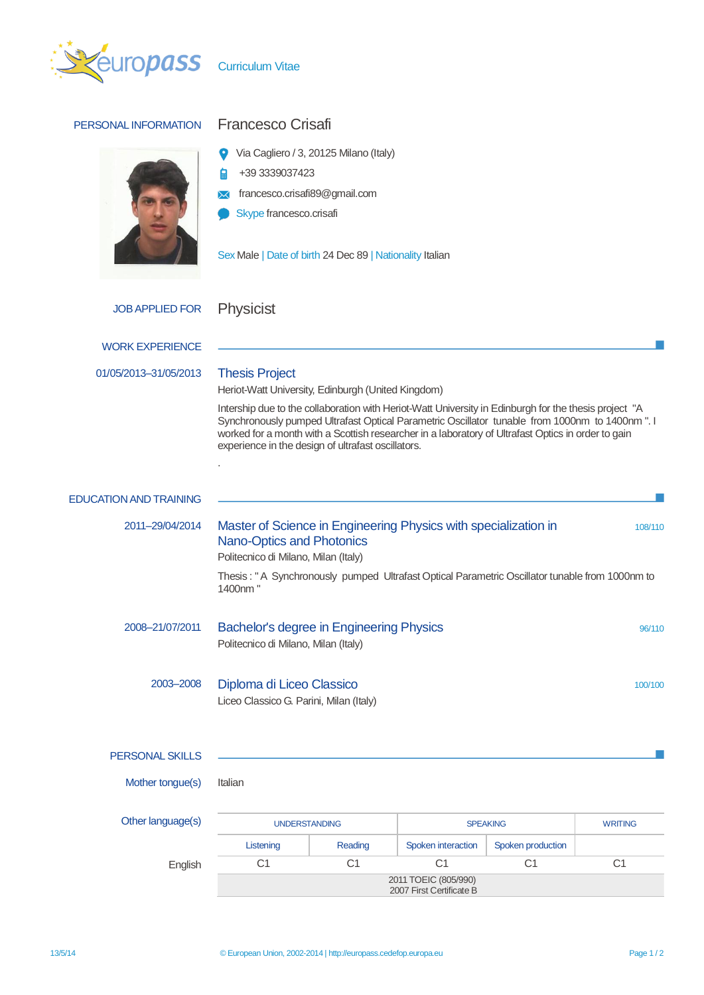

| PERSONAL INFORMATION          | <b>Francesco Crisafi</b>                                                                                                                                                                                                                                                                                                                                             |                |                    |                   |                |
|-------------------------------|----------------------------------------------------------------------------------------------------------------------------------------------------------------------------------------------------------------------------------------------------------------------------------------------------------------------------------------------------------------------|----------------|--------------------|-------------------|----------------|
|                               | Via Cagliero / 3, 20125 Milano (Italy)<br>+39 3339037423<br>francesco.crisafi89@gmail.com<br>Skype francesco.crisafi                                                                                                                                                                                                                                                 |                |                    |                   |                |
|                               | Sex Male   Date of birth 24 Dec 89   Nationality Italian                                                                                                                                                                                                                                                                                                             |                |                    |                   |                |
| <b>JOB APPLIED FOR</b>        | <b>Physicist</b>                                                                                                                                                                                                                                                                                                                                                     |                |                    |                   |                |
| <b>WORK EXPERIENCE</b>        |                                                                                                                                                                                                                                                                                                                                                                      |                |                    |                   |                |
| 01/05/2013-31/05/2013         | <b>Thesis Project</b><br>Heriot-Watt University, Edinburgh (United Kingdom)                                                                                                                                                                                                                                                                                          |                |                    |                   |                |
|                               | Intership due to the collaboration with Heriot-Watt University in Edinburgh for the thesis project "A<br>Synchronously pumped Ultrafast Optical Parametric Oscillator tunable from 1000nm to 1400nm ". I<br>worked for a month with a Scottish researcher in a laboratory of Ultrafast Optics in order to gain<br>experience in the design of ultrafast oscillators. |                |                    |                   |                |
| <b>EDUCATION AND TRAINING</b> |                                                                                                                                                                                                                                                                                                                                                                      |                |                    |                   |                |
| 2011-29/04/2014               | Master of Science in Engineering Physics with specialization in<br>108/110<br><b>Nano-Optics and Photonics</b><br>Politecnico di Milano, Milan (Italy)<br>Thesis: "A Synchronously pumped Ultrafast Optical Parametric Oscillator tunable from 1000nm to<br>1400nm "                                                                                                 |                |                    |                   |                |
| 2008-21/07/2011               | Bachelor's degree in Engineering Physics<br>96/110<br>Politecnico di Milano, Milan (Italy)                                                                                                                                                                                                                                                                           |                |                    |                   |                |
| 2003-2008                     | Diploma di Liceo Classico<br>100/100<br>Liceo Classico G. Parini, Milan (Italy)                                                                                                                                                                                                                                                                                      |                |                    |                   |                |
| <b>PERSONAL SKILLS</b>        |                                                                                                                                                                                                                                                                                                                                                                      |                |                    |                   |                |
| Mother tongue(s)              | Italian                                                                                                                                                                                                                                                                                                                                                              |                |                    |                   |                |
| Other language(s)             | <b>UNDERSTANDING</b>                                                                                                                                                                                                                                                                                                                                                 |                | <b>SPEAKING</b>    |                   | <b>WRITING</b> |
|                               | Listening                                                                                                                                                                                                                                                                                                                                                            | Reading        | Spoken interaction | Spoken production |                |
| English                       | C <sub>1</sub>                                                                                                                                                                                                                                                                                                                                                       | C <sub>1</sub> | C <sub>1</sub>     | C <sub>1</sub>    | C1             |
|                               | 2011 TOEIC (805/990)<br>2007 First Certificate B                                                                                                                                                                                                                                                                                                                     |                |                    |                   |                |